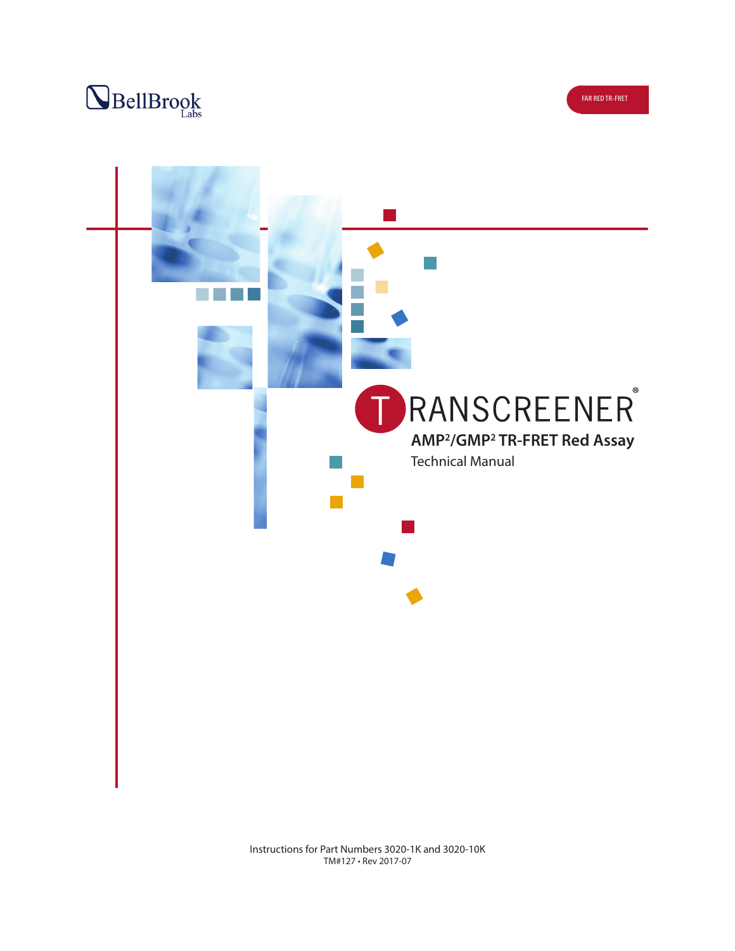



Instructions for Part Numbers 3020-1K and 3020-10K TM#127 • Rev 2017-07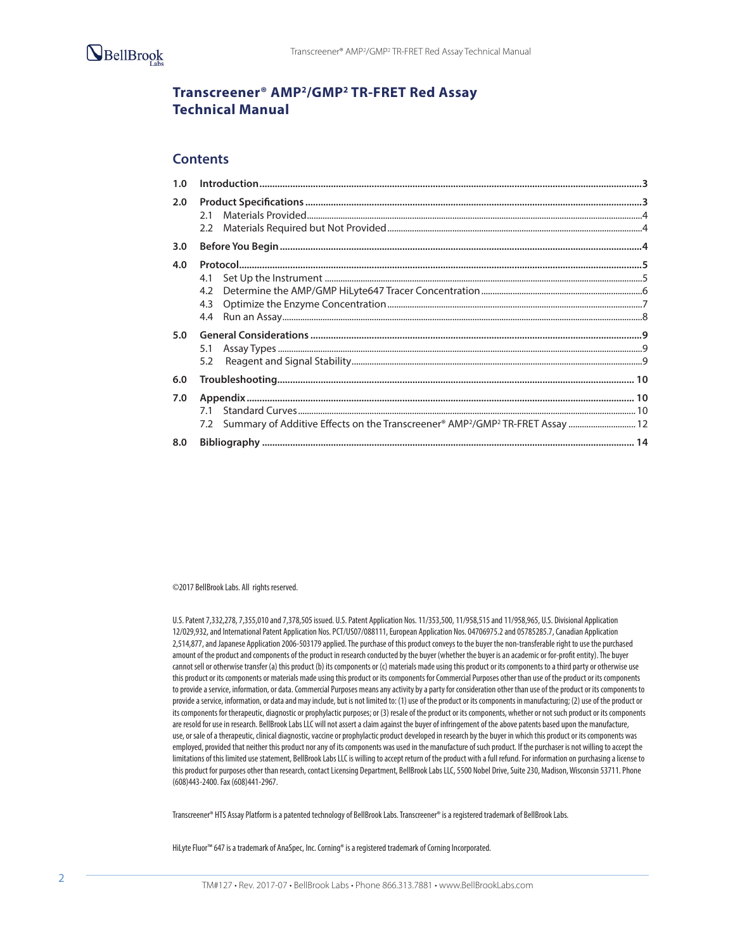

# **Transcreener® AMP2/GMP2 TR-FRET Red Assay Technical Manual**

### **Contents**

| 2.0 |     |  |
|-----|-----|--|
|     |     |  |
| 3.0 |     |  |
| 4.0 |     |  |
|     | 4.1 |  |
|     |     |  |
|     |     |  |
|     |     |  |
| 5.0 |     |  |
|     | 5.1 |  |
|     | 5.2 |  |
| 6.0 |     |  |
| 7.0 |     |  |
|     |     |  |
|     |     |  |
| 8.0 |     |  |

©2017 BellBrook Labs. All rights reserved.

U.S. Patent 7,332,278, 7,355,010 and 7,378,505 issued. U.S. Patent Application Nos. 11/353,500, 11/958,515 and 11/958,965, U.S. Divisional Application 12/029,932, and International Patent Application Nos. PCT/US07/088111, European Application Nos. 04706975.2 and 05785285.7, Canadian Application 2,514,877, and Japanese Application 2006-503179 applied. The purchase of this product conveys to the buyer the non-transferable right to use the purchased amount of the product and components of the product in research conducted by the buyer (whether the buyer is an academic or for-profit entity). The buyer cannot sell or otherwise transfer (a) this product (b) its components or (c) materials made using this product or its components to a third party or otherwise use this product or its components or materials made using this product or its components for Commercial Purposes other than use of the product or its components to provide a service, information, or data. Commercial Purposes means any activity by a party for consideration other than use of the product or its components to provide a service, information, or data and may include, but is not limited to: (1) use of the product or its components in manufacturing; (2) use of the product or its components for therapeutic, diagnostic or prophylactic purposes; or (3) resale of the product or its components, whether or not such product or its components are resold for use in research. BellBrook Labs LLC will not assert a claim against the buyer of infringement of the above patents based upon the manufacture, use, or sale of a therapeutic, clinical diagnostic, vaccine or prophylactic product developed in research by the buyer in which this product or its components was employed, provided that neither this product nor any of its components was used in the manufacture of such product. If the purchaser is not willing to accept the limitations of this limited use statement, BellBrook Labs LLC is willing to accept return of the product with a full refund. For information on purchasing a license to this product for purposes other than research, contact Licensing Department, BellBrook Labs LLC, 5500 Nobel Drive, Suite 230, Madison, Wisconsin 53711. Phone (608)443-2400. Fax (608)441-2967.

Transcreener® HTS Assay Platform is a patented technology of BellBrook Labs. Transcreener® is a registered trademark of BellBrook Labs.

HiLyte Fluor™ 647 is a trademark of AnaSpec, Inc. Corning® is a registered trademark of Corning Incorporated.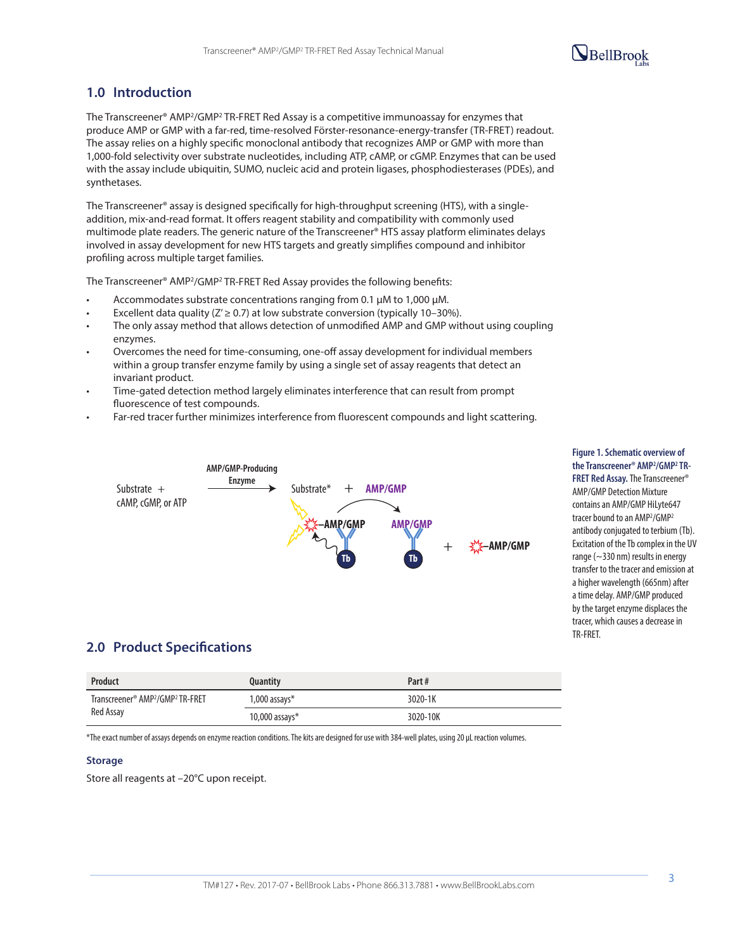# $\mathbf{Q}_{\text{BellBrook}}$

# **1.0 Introduction**

The Transcreener® AMP2/GMP2 TR-FRET Red Assay is a competitive immunoassay for enzymes that produce AMP or GMP with a far-red, time-resolved Förster-resonance-energy-transfer (TR-FRET) readout. The assay relies on a highly specific monoclonal antibody that recognizes AMP or GMP with more than 1,000-fold selectivity over substrate nucleotides, including ATP, cAMP, or cGMP. Enzymes that can be used with the assay include ubiquitin, SUMO, nucleic acid and protein ligases, phosphodiesterases (PDEs), and synthetases.

The Transcreener® assay is designed specifically for high-throughput screening (HTS), with a singleaddition, mix-and-read format. It offers reagent stability and compatibility with commonly used multimode plate readers. The generic nature of the Transcreener® HTS assay platform eliminates delays involved in assay development for new HTS targets and greatly simplifies compound and inhibitor profiling across multiple target families.

The Transcreener® AMP2/GMP2 TR-FRET Red Assay provides the following benefits:

- Accommodates substrate concentrations ranging from 0.1  $\mu$ M to 1,000  $\mu$ M.
- Excellent data quality ( $Z' \ge 0.7$ ) at low substrate conversion (typically 10–30%).
- The only assay method that allows detection of unmodified AMP and GMP without using coupling enzymes.
- Overcomes the need for time-consuming, one-off assay development for individual members within a group transfer enzyme family by using a single set of assay reagents that detect an invariant product.
- Time-gated detection method largely eliminates interference that can result from prompt fluorescence of test compounds.
- Far-red tracer further minimizes interference from fluorescent compounds and light scattering.



**Figure 1. Schematic overview of the Transcreener® AMP2 /GMP2 TR-FRET Red Assay.** The Transcreener® AMP/GMP Detection Mixture contains an AMP/GMP HiLyte647 tracer bound to an AMP<sup>2</sup>/GMP<sup>2</sup> antibody conjugated to terbium (Tb). Excitation of the Tb complex in the UV range (~330 nm) results in energy transfer to the tracer and emission at a higher wavelength (665nm) after a time delay. AMP/GMP produced by the target enzyme displaces the tracer, which causes a decrease in TR-FRET.

### **2.0 Product Specifications**

| <b>Product</b>                                           | <b>Quantity</b>    | Part#    |
|----------------------------------------------------------|--------------------|----------|
| Transcreener® AMP <sup>2</sup> /GMP <sup>2</sup> TR-FRET | $1,000$ assays $*$ | 3020-1K  |
| Red Assay                                                | 10,000 assays $*$  | 3020-10K |

\*The exact number of assays depends on enzyme reaction conditions. The kits are designed for use with 384-well plates, using 20 µL reaction volumes.

#### **Storage**

Store all reagents at –20°C upon receipt.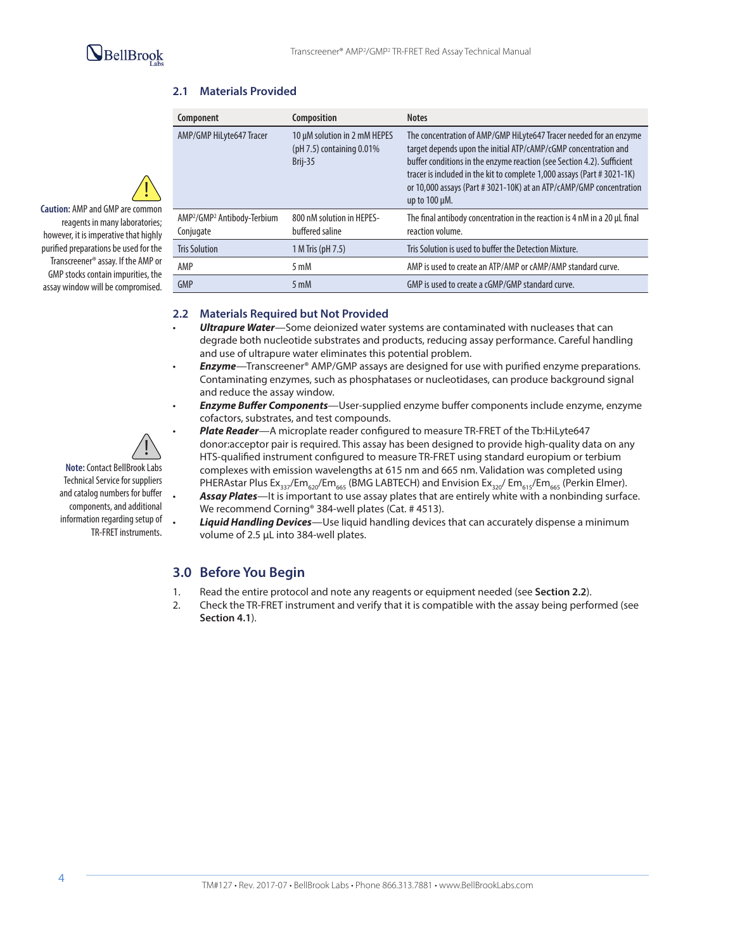!

**Caution:** AMP and GMP are common reagents in many laboratories; however, it is imperative that highly purified preparations be used for the Transcreener® assay. If the AMP or GMP stocks contain impurities, the assay window will be compromised.

### **2.1 Materials Provided**

| Component                                                        | <b>Composition</b>                                                      | <b>Notes</b>                                                                                                                                                                                                                                                                                                                                                                            |
|------------------------------------------------------------------|-------------------------------------------------------------------------|-----------------------------------------------------------------------------------------------------------------------------------------------------------------------------------------------------------------------------------------------------------------------------------------------------------------------------------------------------------------------------------------|
| AMP/GMP HiLyte647 Tracer                                         | 10 µM solution in 2 mM HEPES<br>( $pH$ 7.5) containing 0.01%<br>Brij-35 | The concentration of AMP/GMP HiLyte647 Tracer needed for an enzyme<br>target depends upon the initial ATP/cAMP/cGMP concentration and<br>buffer conditions in the enzyme reaction (see Section 4.2). Sufficient<br>tracer is included in the kit to complete 1,000 assays (Part #3021-1K)<br>or 10,000 assays (Part # 3021-10K) at an ATP/cAMP/GMP concentration<br>up to $100 \mu M$ . |
| AMP <sup>2</sup> /GMP <sup>2</sup> Antibody-Terbium<br>Conjugate | 800 nM solution in HEPES-<br>buffered saline                            | The final antibody concentration in the reaction is 4 nM in a 20 µL final<br>reaction volume.                                                                                                                                                                                                                                                                                           |
| <b>Tris Solution</b>                                             | 1 M Tris (pH 7.5)                                                       | Tris Solution is used to buffer the Detection Mixture.                                                                                                                                                                                                                                                                                                                                  |
| AMP                                                              | $5 \text{ mM}$                                                          | AMP is used to create an ATP/AMP or cAMP/AMP standard curve.                                                                                                                                                                                                                                                                                                                            |
| <b>GMP</b>                                                       | $5 \text{ mM}$                                                          | GMP is used to create a cGMP/GMP standard curve.                                                                                                                                                                                                                                                                                                                                        |

#### **2.2 Materials Required but Not Provided**

- *Ultrapure Water*—Some deionized water systems are contaminated with nucleases that can degrade both nucleotide substrates and products, reducing assay performance. Careful handling and use of ultrapure water eliminates this potential problem.
- *Enzyme*—Transcreener® AMP/GMP assays are designed for use with purified enzyme preparations. Contaminating enzymes, such as phosphatases or nucleotidases, can produce background signal and reduce the assay window.
- *Enzyme Buffer Components*—User-supplied enzyme buffer components include enzyme, enzyme cofactors, substrates, and test compounds.



**Note:** Contact BellBrook Labs Technical Service for suppliers and catalog numbers for buffer components, and additional information regarding setup of TR-FRET instruments.

- *Plate Reader*—A microplate reader configured to measure TR-FRET of the Tb:HiLyte647 donor:acceptor pair is required. This assay has been designed to provide high-quality data on any HTS-qualified instrument configured to measure TR-FRET using standard europium or terbium complexes with emission wavelengths at 615 nm and 665 nm. Validation was completed using PHERAstar Plus Ex<sub>337</sub>/Em<sub>620</sub>/Em<sub>665</sub> (BMG LABTECH) and Envision Ex<sub>320</sub>/ Em<sub>615</sub>/Em<sub>665</sub> (Perkin Elmer). • *Assay Plates*—It is important to use assay plates that are entirely white with a nonbinding surface. We recommend Corning<sup>®</sup> 384-well plates (Cat. # 4513).
- *Liquid Handling Devices*—Use liquid handling devices that can accurately dispense a minimum volume of 2.5 µL into 384-well plates.

## **3.0 Before You Begin**

- 1. Read the entire protocol and note any reagents or equipment needed (see **Section 2.2**).
- 2. Check the TR-FRET instrument and verify that it is compatible with the assay being performed (see **Section 4.1**).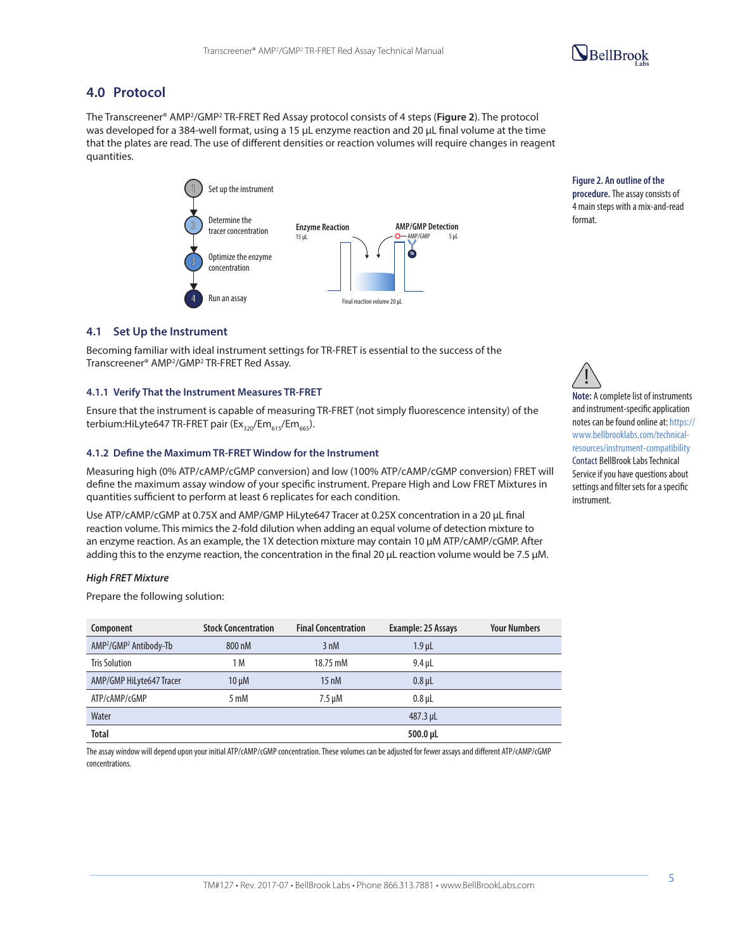

## **4.0 Protocol**

The Transcreener® AMP2/GMP2 TR-FRET Red Assay protocol consists of 4 steps (**Figure 2**). The protocol was developed for a 384-well format, using a 15 µL enzyme reaction and 20 µL final volume at the time that the plates are read. The use of different densities or reaction volumes will require changes in reagent quantities.



**Figure 2. An outline of the procedure.** The assay consists of 4 main steps with a mix-and-read format.

#### **4.1 Set Up the Instrument**

Becoming familiar with ideal instrument settings for TR-FRET is essential to the success of the Transcreener® AMP2/GMP2 TR-FRET Red Assay.

#### **4.1.1 Verify That the Instrument Measures TR-FRET**

Ensure that the instrument is capable of measuring TR-FRET (not simply fluorescence intensity) of the terbium:HiLyte647 TR-FRET pair ( $Ex_{320}/Em_{615}/Em_{665}$ ).

#### **4.1.2 Define the Maximum TR-FRET Window for the Instrument**

Measuring high (0% ATP/cAMP/cGMP conversion) and low (100% ATP/cAMP/cGMP conversion) FRET will define the maximum assay window of your specific instrument. Prepare High and Low FRET Mixtures in quantities sufficient to perform at least 6 replicates for each condition.

Use ATP/cAMP/cGMP at 0.75X and AMP/GMP HiLyte647 Tracer at 0.25X concentration in a 20 µL final reaction volume. This mimics the 2-fold dilution when adding an equal volume of detection mixture to an enzyme reaction. As an example, the 1X detection mixture may contain 10 µM ATP/cAMP/cGMP. After adding this to the enzyme reaction, the concentration in the final 20 µL reaction volume would be 7.5 µM.

#### *High FRET Mixture*

Prepare the following solution:

| Component                                      | <b>Stock Concentration</b> | <b>Final Concentration</b> | Example: 25 Assays | <b>Your Numbers</b> |
|------------------------------------------------|----------------------------|----------------------------|--------------------|---------------------|
| AMP <sup>2</sup> /GMP <sup>2</sup> Antibody-Tb | 800 nM                     | 3 nM                       | $1.9$ µL           |                     |
| <b>Tris Solution</b>                           | 1 M                        | 18.75 mM                   | $9.4$ µL           |                     |
| AMP/GMP HiLyte647 Tracer                       | $10 \mu M$                 | $15 \text{ nM}$            | $0.8 \mu L$        |                     |
| ATP/cAMP/cGMP                                  | 5 mM                       | $7.5 \mu M$                | $0.8$ µL           |                     |
| Water                                          |                            |                            | $487.3 \mu L$      |                     |
| <b>Total</b>                                   |                            |                            | 500.0 µL           |                     |

The assay window will depend upon your initial ATP/cAMP/cGMP concentration. These volumes can be adjusted for fewer assays and different ATP/cAMP/cGMP concentrations.



**Note:** A complete list of instruments and instrument-specific application notes can be found online at: https:// www.bellbrooklabs.com/technicalresources/instrument-compatibility Contact BellBrook Labs Technical Service if you have questions about settings and filter sets for a specific instrument.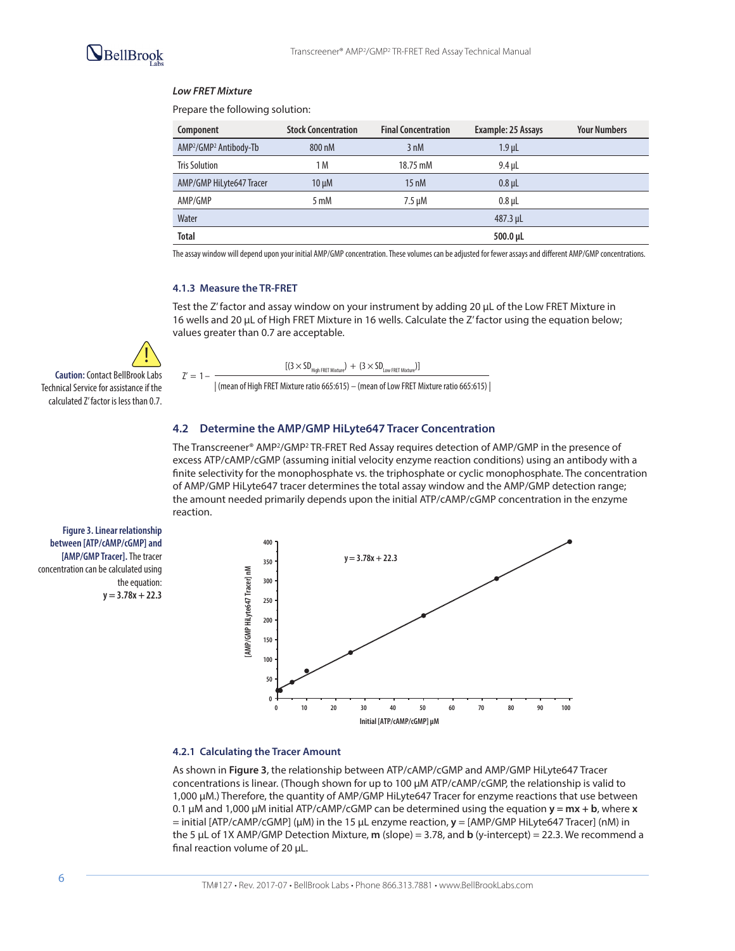#### *Low FRET Mixture*

Prepare the following solution:

| Component                                      | <b>Stock Concentration</b> | <b>Final Concentration</b> | Example: 25 Assays | <b>Your Numbers</b> |
|------------------------------------------------|----------------------------|----------------------------|--------------------|---------------------|
| AMP <sup>2</sup> /GMP <sup>2</sup> Antibody-Tb | 800 nM                     | 3 nM                       | $1.9$ µL           |                     |
| <b>Tris Solution</b>                           | 1 M                        | 18.75 mM                   | 9.4 uL             |                     |
| AMP/GMP HiLyte647 Tracer                       | $10 \mu M$                 | $15 \text{ nM}$            | $0.8$ uL           |                     |
| AMP/GMP                                        | 5 mM                       | 7.5 µM                     | $0.8$ µL           |                     |
| Water                                          |                            |                            | 487.3 µL           |                     |
| <b>Total</b>                                   |                            |                            | 500.0 µL           |                     |

The assay window will depend upon your initial AMP/GMP concentration. These volumes can be adjusted for fewer assays and different AMP/GMP concentrations.

#### **4.1.3 Measure the TR-FRET**

 $7' = 1 -$ 

Test the Z' factor and assay window on your instrument by adding 20 µL of the Low FRET Mixture in 16 wells and 20 µL of High FRET Mixture in 16 wells. Calculate the Z' factor using the equation below; values greater than 0.7 are acceptable.

$$
[(3 \times SD_{\text{High FRET Mixture}}) + (3 \times SD_{\text{Low FRET Mixture}})]
$$

| (mean of High FRET Mixture ratio 665:615) – (mean of Low FRET Mixture ratio 665:615) |

#### **4.2 Determine the AMP/GMP HiLyte647 Tracer Concentration**

The Transcreener® AMP<sup>2</sup>/GMP<sup>2</sup> TR-FRET Red Assay requires detection of AMP/GMP in the presence of dr λική γάκι της του τη παρασταθεί αποτελείται του στο τους από το πολιτικό και το λική γάκι τα αποτελείση ται<br>the amount needed primarily depends upon the initial ATP/cAMP/cGMP concentration in the enzyme excess ATP/cAMP/cGMP (assuming initial velocity enzyme reaction conditions) using an antibody with a finite selectivity for the monophosphate vs. the triphosphate or cyclic monophosphate. The concentration of AMP/GMP HiLyte647 tracer determines the total assay window and the AMP/GMP detection range; reaction.

**Figure 3. Linear relationship between [ATP/cAMP/cGMP] and [AMP/GMP Tracer].** The tracer concentration can be calculated using the equation: **y = 3.78x + 22.3**

**Caution:** Contact BellBrook Labs Technical Service for assistance if the calculated Z' factor is less than 0.7.

!



#### **4.2.1 Calculating the Tracer Amount**

As shown in **Figure 3**, the relationship between ATP/cAMP/cGMP and AMP/GMP HiLyte647 Tracer concentrations is linear. (Though shown for up to 100 µM ATP/cAMP/cGMP, the relationship is valid to 1,000 µM.) Therefore, the quantity of AMP/GMP HiLyte647 Tracer for enzyme reactions that use between 0.1 μM and 1,000 μM initial ATP/cAMP/cGMP can be determined using the equation **y = mx + b**, where **x** = initial [ATP/cAMP/cGMP] (µM) in the 15 μL enzyme reaction, **y** = [AMP/GMP HiLyte647 Tracer] (nM) in the 5 μL of 1X AMP/GMP Detection Mixture, **m** (slope) = 3.78, and **b** (y-intercept) = 22.3. We recommend a final reaction volume of 20 μL.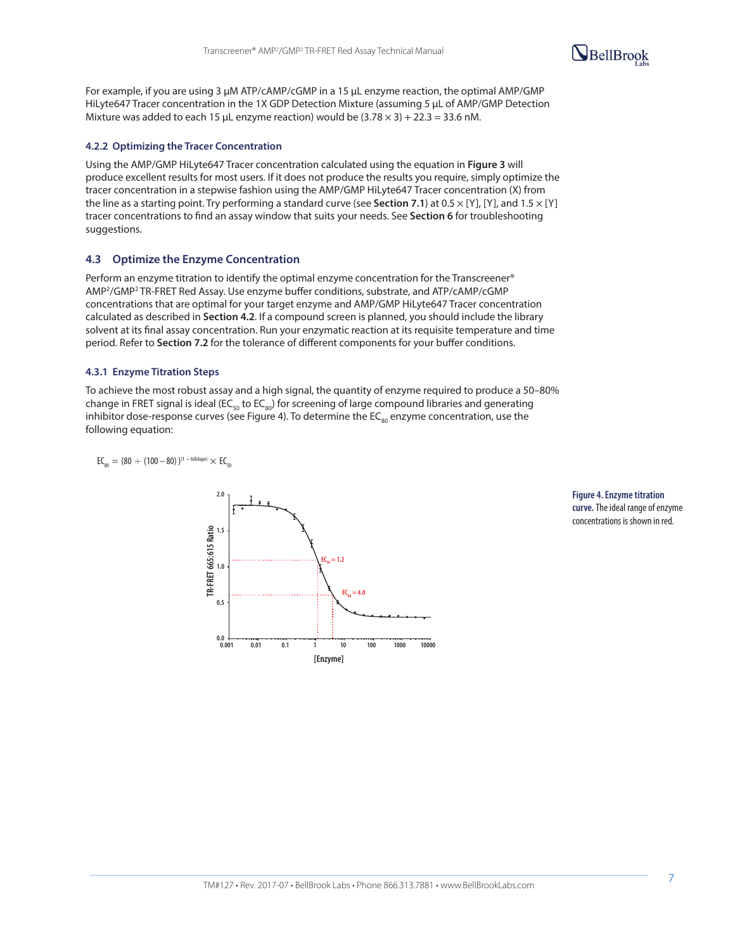

For example, if you are using 3 µM ATP/cAMP/cGMP in a 15 µL enzyme reaction, the optimal AMP/GMP HiLyte647 Tracer concentration in the 1X GDP Detection Mixture (assuming 5 µL of AMP/GMP Detection Mixture was added to each 15 µL enzyme reaction) would be  $(3.78 \times 3) + 22.3 = 33.6$  nM.

#### **4.2.2 Optimizing the Tracer Concentration**

Using the AMP/GMP HiLyte647 Tracer concentration calculated using the equation in **Figure 3** will produce excellent results for most users. If it does not produce the results you require, simply optimize the tracer concentration in a stepwise fashion using the AMP/GMP HiLyte647 Tracer concentration (X) from the line as a starting point. Try performing a standard curve (see **Section 7.1**) at 0.5 × [Y], [Y], and 1.5 × [Y] tracer concentrations to find an assay window that suits your needs. See **Section 6** for troubleshooting suggestions.

#### **4.3 Optimize the Enzyme Concentration**

Perform an enzyme titration to identify the optimal enzyme concentration for the Transcreener® AMP2/GMP2 TR-FRET Red Assay. Use enzyme buffer conditions, substrate, and ATP/cAMP/cGMP concentrations that are optimal for your target enzyme and AMP/GMP HiLyte647 Tracer concentration calculated as described in **Section 4.2**. If a compound screen is planned, you should include the library solvent at its final assay concentration. Run your enzymatic reaction at its requisite temperature and time period. Refer to **Section 7.2** for the tolerance of different components for your buffer conditions.

#### **4.3.1 Enzyme Titration Steps**

To achieve the most robust assay and a high signal, the quantity of enzyme required to produce a 50–80% change in FRET signal is ideal (EC<sub>so</sub> to EC<sub>so</sub>) for screening of large compound libraries and generating inhibitor dose-response curves (see Figure 4). To determine the  $EC_{\text{so}}$  enzyme concentration, use the following equation:  $rac{1}{2}$ 

$$
EC_{_{80}} = (80\,\div\,(100-80)\,)^{(1\,\div\,hillslope)}\,\times\,EC_{_{50}}
$$



**Figure 4. Enzyme titration curve.** The ideal range of enzyme concentrations is shown in red.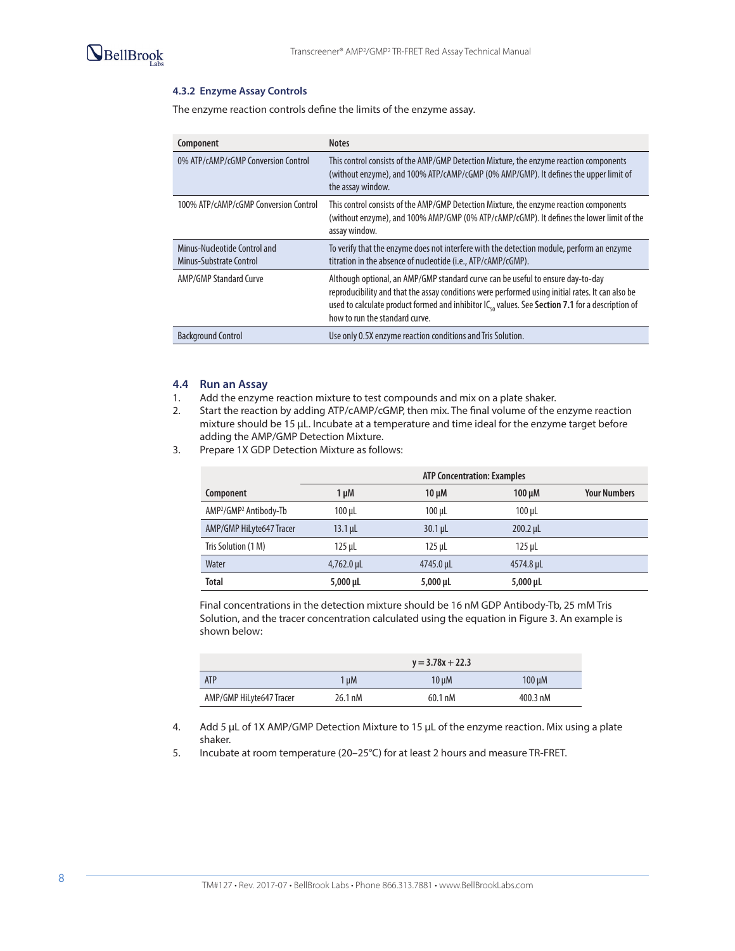

#### **4.3.2 Enzyme Assay Controls**

The enzyme reaction controls define the limits of the enzyme assay.

| Component                                               | <b>Notes</b>                                                                                                                                                                                                                                                                                                                          |
|---------------------------------------------------------|---------------------------------------------------------------------------------------------------------------------------------------------------------------------------------------------------------------------------------------------------------------------------------------------------------------------------------------|
| 0% ATP/cAMP/cGMP Conversion Control                     | This control consists of the AMP/GMP Detection Mixture, the enzyme reaction components<br>(without enzyme), and 100% ATP/cAMP/cGMP (0% AMP/GMP). It defines the upper limit of<br>the assay window.                                                                                                                                   |
| 100% ATP/cAMP/cGMP Conversion Control                   | This control consists of the AMP/GMP Detection Mixture, the enzyme reaction components<br>(without enzyme), and 100% AMP/GMP (0% ATP/cAMP/cGMP). It defines the lower limit of the<br>assay window.                                                                                                                                   |
| Minus-Nucleotide Control and<br>Minus-Substrate Control | To verify that the enzyme does not interfere with the detection module, perform an enzyme<br>titration in the absence of nucleotide (i.e., ATP/cAMP/cGMP).                                                                                                                                                                            |
| AMP/GMP Standard Curve                                  | Although optional, an AMP/GMP standard curve can be useful to ensure day-to-day<br>reproducibility and that the assay conditions were performed using initial rates. It can also be<br>used to calculate product formed and inhibitor IC <sub>50</sub> values. See Section 7.1 for a description of<br>how to run the standard curve. |
| <b>Background Control</b>                               | Use only 0.5X enzyme reaction conditions and Tris Solution.                                                                                                                                                                                                                                                                           |

#### **4.4 Run an Assay**

- 1. Add the enzyme reaction mixture to test compounds and mix on a plate shaker.
- 2. Start the reaction by adding ATP/cAMP/cGMP, then mix. The final volume of the enzyme reaction mixture should be 15 µL. Incubate at a temperature and time ideal for the enzyme target before adding the AMP/GMP Detection Mixture.
- 3. Prepare 1X GDP Detection Mixture as follows:

|                                                | <b>ATP Concentration: Examples</b> |               |               |                     |  |  |
|------------------------------------------------|------------------------------------|---------------|---------------|---------------------|--|--|
| Component                                      | $1 \mu M$                          | $10 \mu M$    | $100 \mu M$   | <b>Your Numbers</b> |  |  |
| AMP <sup>2</sup> /GMP <sup>2</sup> Antibody-Tb | 100 µL                             | $100 \mu L$   | $100 \mu L$   |                     |  |  |
| AMP/GMP HiLyte647 Tracer                       | $13.1 \mu L$                       | $30.1 \mu L$  | $200.2$ µL    |                     |  |  |
| Tris Solution (1 M)                            | $125$ µL                           | $125$ µL      | $125 \mu L$   |                     |  |  |
| Water                                          | $4,762.0 \,\mu$ L                  | 4745.0 µL     | 4574.8 µL     |                     |  |  |
| <b>Total</b>                                   | $5,000 \mu L$                      | $5,000 \mu L$ | $5,000 \mu L$ |                     |  |  |

Final concentrations in the detection mixture should be 16 nM GDP Antibody-Tb, 25 mM Tris Solution, and the tracer concentration calculated using the equation in Figure 3. An example is shown below:

|                          |         | $y = 3.78x + 22.3$ |                    |
|--------------------------|---------|--------------------|--------------------|
| <b>ATP</b>               | 1 uM    | $10 \mu M$         | $100 \mu M$        |
| AMP/GMP HiLyte647 Tracer | 26.1 nM | 60.1 nM            | $400.3 \text{ nM}$ |

4. Add 5 µL of 1X AMP/GMP Detection Mixture to 15 µL of the enzyme reaction. Mix using a plate shaker.

5. Incubate at room temperature (20–25°C) for at least 2 hours and measure TR-FRET.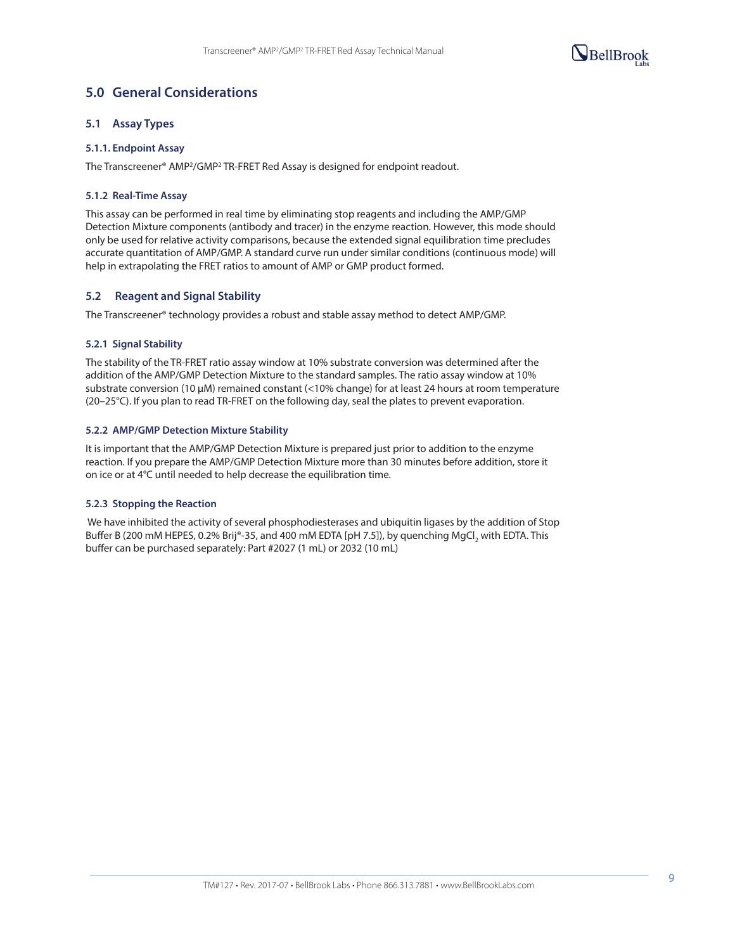

# **5.0 General Considerations**

#### **5.1 Assay Types**

#### **5.1.1. Endpoint Assay**

The Transcreener® AMP2/GMP2 TR-FRET Red Assay is designed for endpoint readout.

#### **5.1.2 Real-Time Assay**

This assay can be performed in real time by eliminating stop reagents and including the AMP/GMP Detection Mixture components (antibody and tracer) in the enzyme reaction. However, this mode should only be used for relative activity comparisons, because the extended signal equilibration time precludes accurate quantitation of AMP/GMP. A standard curve run under similar conditions (continuous mode) will help in extrapolating the FRET ratios to amount of AMP or GMP product formed.

#### **5.2 Reagent and Signal Stability**

The Transcreener® technology provides a robust and stable assay method to detect AMP/GMP.

#### **5.2.1 Signal Stability**

The stability of the TR-FRET ratio assay window at 10% substrate conversion was determined after the addition of the AMP/GMP Detection Mixture to the standard samples. The ratio assay window at 10% substrate conversion (10 µM) remained constant (<10% change) for at least 24 hours at room temperature (20–25°C). If you plan to read TR-FRET on the following day, seal the plates to prevent evaporation.

#### **5.2.2 AMP/GMP Detection Mixture Stability**

It is important that the AMP/GMP Detection Mixture is prepared just prior to addition to the enzyme reaction. If you prepare the AMP/GMP Detection Mixture more than 30 minutes before addition, store it on ice or at 4°C until needed to help decrease the equilibration time.

#### **5.2.3 Stopping the Reaction**

 We have inhibited the activity of several phosphodiesterases and ubiquitin ligases by the addition of Stop Buffer B (200 mM HEPES, 0.2% Brij®-35, and 400 mM EDTA [pH 7.5]), by quenching MgCl, with EDTA. This buffer can be purchased separately: Part #2027 (1 mL) or 2032 (10 mL)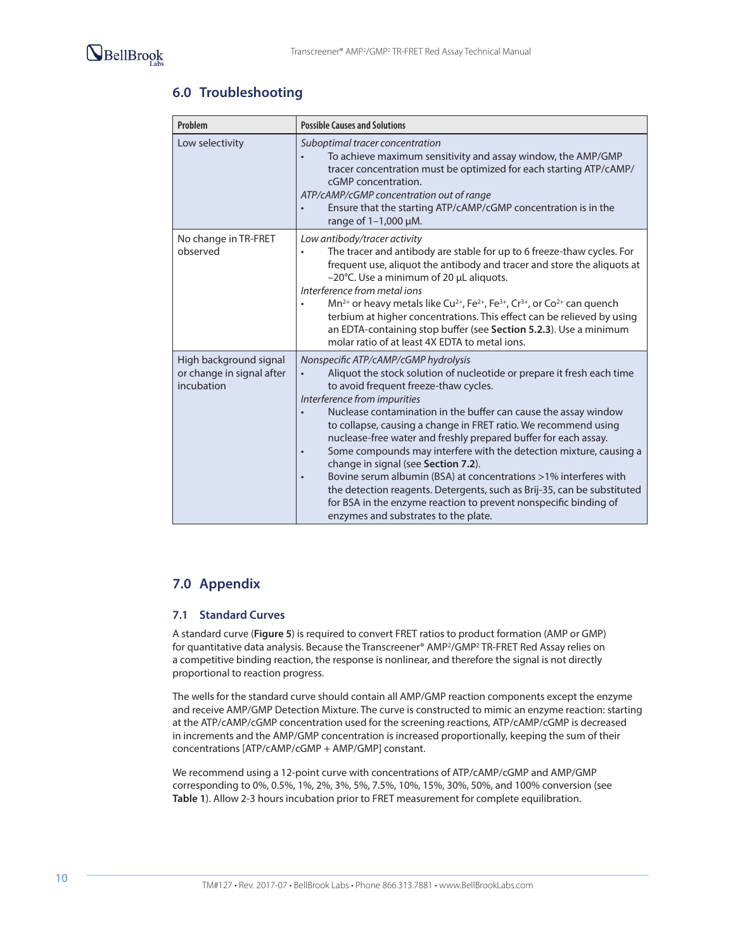# **6.0 Troubleshooting**

| Problem                                                           | <b>Possible Causes and Solutions</b>                                                                                                                                                                                                                                                                                                                                                                                                                                                                                                                                                                                                                                                                                                                                                               |
|-------------------------------------------------------------------|----------------------------------------------------------------------------------------------------------------------------------------------------------------------------------------------------------------------------------------------------------------------------------------------------------------------------------------------------------------------------------------------------------------------------------------------------------------------------------------------------------------------------------------------------------------------------------------------------------------------------------------------------------------------------------------------------------------------------------------------------------------------------------------------------|
| Low selectivity                                                   | Suboptimal tracer concentration<br>To achieve maximum sensitivity and assay window, the AMP/GMP<br>tracer concentration must be optimized for each starting ATP/cAMP/<br>cGMP concentration.<br>ATP/cAMP/cGMP concentration out of range<br>Ensure that the starting ATP/cAMP/cGMP concentration is in the<br>range of 1-1,000 µM.                                                                                                                                                                                                                                                                                                                                                                                                                                                                 |
| No change in TR-FRET<br>observed                                  | Low antibody/tracer activity<br>The tracer and antibody are stable for up to 6 freeze-thaw cycles. For<br>frequent use, aliquot the antibody and tracer and store the aliquots at<br>-20°C. Use a minimum of 20 µL aliquots.<br>Interference from metal jons<br>Mn <sup>2+</sup> or heavy metals like Cu <sup>2+</sup> , Fe <sup>2+</sup> , Fe <sup>3+</sup> , Cr <sup>3+</sup> , or Co <sup>2+</sup> can quench<br>terbium at higher concentrations. This effect can be relieved by using<br>an EDTA-containing stop buffer (see Section 5.2.3). Use a minimum<br>molar ratio of at least 4X EDTA to metal jons.                                                                                                                                                                                  |
| High background signal<br>or change in signal after<br>incubation | Nonspecific ATP/cAMP/cGMP hydrolysis<br>Aliquot the stock solution of nucleotide or prepare it fresh each time<br>to avoid frequent freeze-thaw cycles.<br>Interference from impurities<br>Nuclease contamination in the buffer can cause the assay window<br>to collapse, causing a change in FRET ratio. We recommend using<br>nuclease-free water and freshly prepared buffer for each assay.<br>Some compounds may interfere with the detection mixture, causing a<br>$\bullet$<br>change in signal (see Section 7.2).<br>Bovine serum albumin (BSA) at concentrations >1% interferes with<br>$\bullet$<br>the detection reagents. Detergents, such as Brij-35, can be substituted<br>for BSA in the enzyme reaction to prevent nonspecific binding of<br>enzymes and substrates to the plate. |

# **7.0 Appendix**

### **7.1 Standard Curves**

A standard curve (**Figure 5**) is required to convert FRET ratios to product formation (AMP or GMP) for quantitative data analysis. Because the Transcreener® AMP2/GMP2 TR-FRET Red Assay relies on a competitive binding reaction, the response is nonlinear, and therefore the signal is not directly proportional to reaction progress.

The wells for the standard curve should contain all AMP/GMP reaction components except the enzyme and receive AMP/GMP Detection Mixture. The curve is constructed to mimic an enzyme reaction: starting at the ATP/cAMP/cGMP concentration used for the screening reactions, ATP/cAMP/cGMP is decreased in increments and the AMP/GMP concentration is increased proportionally, keeping the sum of their concentrations [ATP/cAMP/cGMP + AMP/GMP] constant.

We recommend using a 12-point curve with concentrations of ATP/cAMP/cGMP and AMP/GMP corresponding to 0%, 0.5%, 1%, 2%, 3%, 5%, 7.5%, 10%, 15%, 30%, 50%, and 100% conversion (see **Table 1**). Allow 2-3 hours incubation prior to FRET measurement for complete equilibration.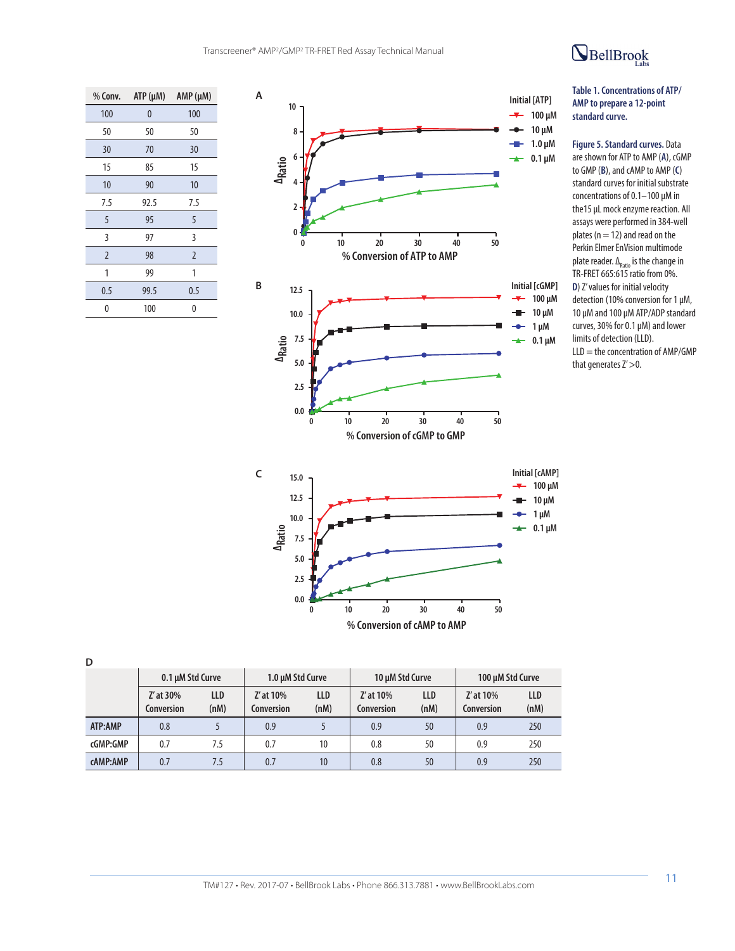

**D**



# BellBrook

#### **Table 1. Concentrations of ATP/ AMP to prepare a 12-point standard curve.**

**Figure 5. Standard curves.** Data are shown for ATP to AMP (**A**), cGMP to GMP (**B**), and cAMP to AMP (**C**) standard curves for initial substrate concentrations of 0.1–100 μM in the15 µL mock enzyme reaction. All assays were performed in 384-well plates ( $n = 12$ ) and read on the Perkin Elmer EnVision multimode plate reader.  $\Delta_{\text{Ratio}}$  is the change in TR-FRET 665:615 ratio from 0%. **D**) Z' values for initial velocity detection (10% conversion for 1 µM, 10 µM and 100 µM ATP/ADP standard curves, 30% for 0.1 µM) and lower limits of detection (LLD).  $LLD =$  the concentration of AMP/GMP that generates  $Z' > 0$ .

|                        |                    | A <sub>Rati</sub><br>7.5<br>5.0<br>2.5<br>0.0 | 10<br>0            | 20<br>% Conversion of cAMP to AMP | 30                 | 50<br>40                | $\sim$ 0.1 µm |
|------------------------|--------------------|-----------------------------------------------|--------------------|-----------------------------------|--------------------|-------------------------|---------------|
| 0.1 µM Std Curve       |                    | 1.0 µM Std Curve                              |                    | 10 µM Std Curve                   |                    | 100 µM Std Curve        |               |
| Z' at 30%<br>onversion | <b>LLD</b><br>(nM) | Z' at 10%<br>Conversion                       | <b>LLD</b><br>(nM) | Z' at 10%<br>Conversion           | <b>LLD</b><br>(nM) | Z' at 10%<br>Conversion | LLD<br>(nM)   |
|                        |                    |                                               |                    |                                   |                    |                         |               |

|          | ------<br>Conversion | ---<br>(nM) | Conversion | ---<br>(nM) | -----<br>Conversion | ---<br>(nM) | Conversion | ---<br>(nM) |
|----------|----------------------|-------------|------------|-------------|---------------------|-------------|------------|-------------|
| ATP:AMP  | 0.8                  |             | 0.9        |             | 0.9                 | 50          | 0.9        | 250         |
| cGMP:GMP | 0.7                  | ر.          | 0.7        |             | 0.8                 | 50          | 0.9        | 250         |
| cAMP:AMP | 0.7                  | ر. ا        | 0.7        | 10          | 0.8                 | 50          | 0.9        | 250         |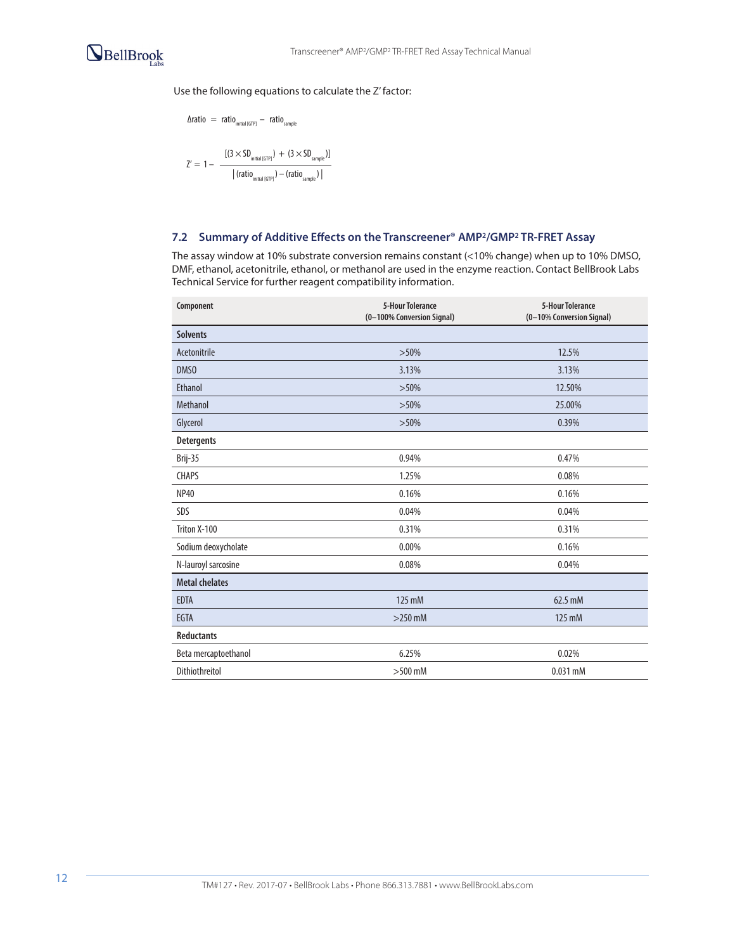

### Use the following equations to calculate the Z' factor:

$$
\Delta \text{ratio} \ = \ \text{ratio}_{\text{initial [GIP]}} - \ \text{ratio}_{\text{sample}}
$$
\n
$$
Z' = 1 - \frac{[(3 \times SD_{\text{initial [GIP]}}) + (3 \times SD_{\text{sample}})]}{|\left(\text{ratio}_{\text{initial [GIP]}}\right) - \left(\text{ratio}_{\text{sample}}\right)|}
$$

### **7.2 Summary of Additive Effects on the Transcreener® AMP2/GMP2 TR-FRET Assay**

The assay window at 10% substrate conversion remains constant (<10% change) when up to 10% DMSO, DMF, ethanol, acetonitrile, ethanol, or methanol are used in the enzyme reaction. Contact BellBrook Labs Technical Service for further reagent compatibility information.

| Component             | <b>5-Hour Tolerance</b><br>(0-100% Conversion Signal) | <b>5-Hour Tolerance</b><br>(0-10% Conversion Signal) |
|-----------------------|-------------------------------------------------------|------------------------------------------------------|
| <b>Solvents</b>       |                                                       |                                                      |
| Acetonitrile          | $>50\%$                                               | 12.5%                                                |
| DMS <sub>0</sub>      | 3.13%                                                 | 3.13%                                                |
| <b>Ethanol</b>        | $>50\%$                                               | 12.50%                                               |
| Methanol              | $>50\%$                                               | 25.00%                                               |
| Glycerol              | $>50\%$                                               | 0.39%                                                |
| <b>Detergents</b>     |                                                       |                                                      |
| Brij-35               | 0.94%                                                 | 0.47%                                                |
| <b>CHAPS</b>          | 1.25%                                                 | 0.08%                                                |
| <b>NP40</b>           | 0.16%                                                 | 0.16%                                                |
| SDS                   | 0.04%                                                 | 0.04%                                                |
| Triton X-100          | 0.31%                                                 | 0.31%                                                |
| Sodium deoxycholate   | 0.00%                                                 | 0.16%                                                |
| N-lauroyl sarcosine   | 0.08%                                                 | 0.04%                                                |
| <b>Metal chelates</b> |                                                       |                                                      |
| <b>EDTA</b>           | 125 mM                                                | 62.5 mM                                              |
| <b>EGTA</b>           | $>$ 250 mM                                            | 125 mM                                               |
| <b>Reductants</b>     |                                                       |                                                      |
| Beta mercaptoethanol  | 6.25%                                                 | 0.02%                                                |
| Dithiothreitol        | $>500$ mM                                             | $0.031$ mM                                           |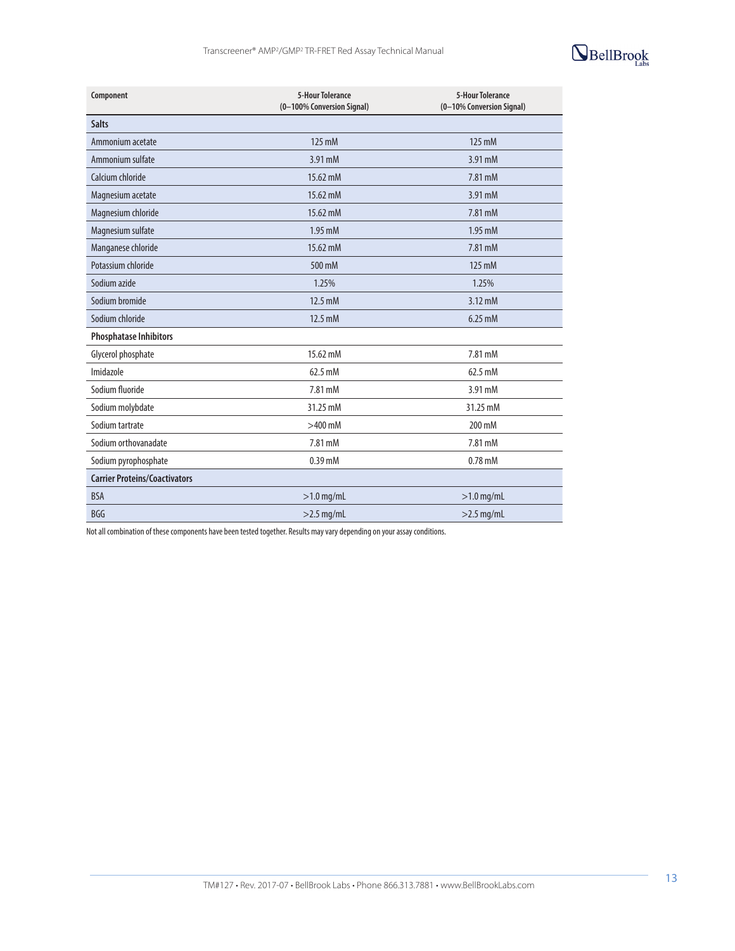

| Component                            | <b>5-Hour Tolerance</b><br>(0-100% Conversion Signal) | <b>5-Hour Tolerance</b><br>(0-10% Conversion Signal) |
|--------------------------------------|-------------------------------------------------------|------------------------------------------------------|
| <b>Salts</b>                         |                                                       |                                                      |
| Ammonium acetate                     | 125 mM                                                | 125 mM                                               |
| Ammonium sulfate                     | 3.91 mM                                               | 3.91 mM                                              |
| Calcium chloride                     | 15.62 mM                                              | 7.81 mM                                              |
| Magnesium acetate                    | 15.62 mM                                              | 3.91 mM                                              |
| Magnesium chloride                   | 15.62 mM                                              | 7.81 mM                                              |
| Magnesium sulfate                    | 1.95 mM                                               | 1.95 mM                                              |
| Manganese chloride                   | 15.62 mM                                              | 7.81 mM                                              |
| Potassium chloride                   | 500 mM                                                | 125 mM                                               |
| Sodium azide                         | 1.25%                                                 | 1.25%                                                |
| Sodium bromide                       | 12.5 mM                                               | $3.12 \text{ mM}$                                    |
| Sodium chloride                      | 12.5 mM                                               | $6.25$ mM                                            |
| <b>Phosphatase Inhibitors</b>        |                                                       |                                                      |
| Glycerol phosphate                   | 15.62 mM                                              | 7.81 mM                                              |
| Imidazole                            | 62.5 mM                                               | 62.5 mM                                              |
| Sodium fluoride                      | 7.81 mM                                               | 3.91 mM                                              |
| Sodium molybdate                     | 31.25 mM                                              | 31.25 mM                                             |
| Sodium tartrate                      | $>400$ mM                                             | 200 mM                                               |
| Sodium orthovanadate                 | 7.81 mM                                               | 7.81 mM                                              |
| Sodium pyrophosphate                 | $0.39$ mM                                             | $0.78$ mM                                            |
| <b>Carrier Proteins/Coactivators</b> |                                                       |                                                      |
| <b>BSA</b>                           | $>1.0$ mg/mL                                          | $>1.0$ mg/mL                                         |
| <b>BGG</b>                           | $>2.5$ mg/mL                                          | $>2.5$ mg/mL                                         |

Not all combination of these components have been tested together. Results may vary depending on your assay conditions.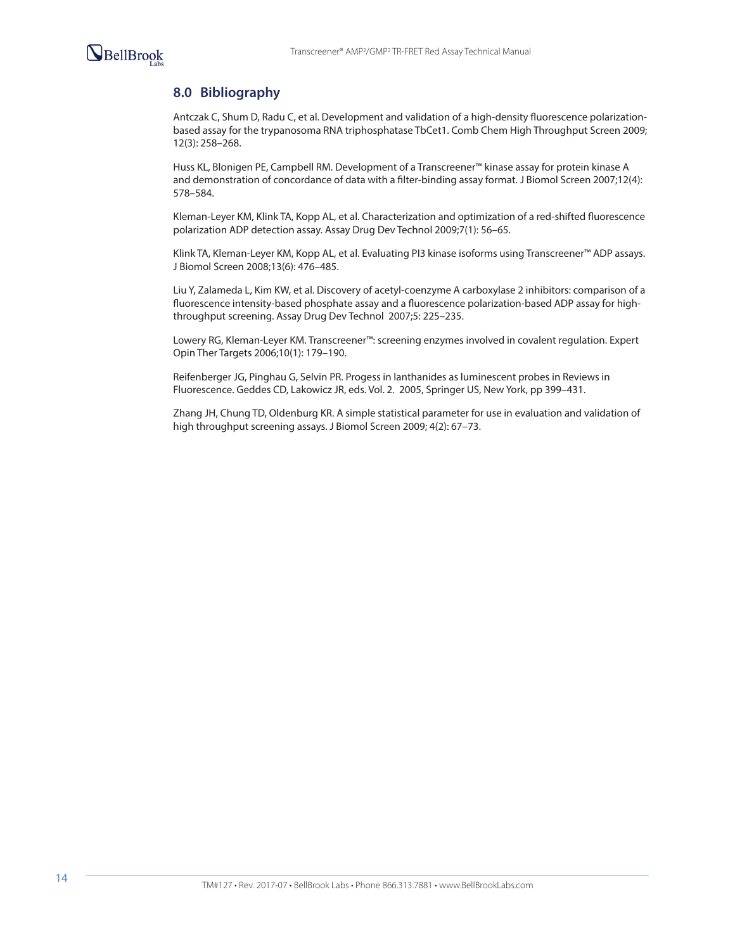

# **8.0 Bibliography**

Antczak C, Shum D, Radu C, et al. Development and validation of a high-density fluorescence polarizationbased assay for the trypanosoma RNA triphosphatase TbCet1. Comb Chem High Throughput Screen 2009; 12(3): 258–268.

Huss KL, Blonigen PE, Campbell RM. Development of a Transcreener™ kinase assay for protein kinase A and demonstration of concordance of data with a filter-binding assay format. J Biomol Screen 2007;12(4): 578–584.

Kleman-Leyer KM, Klink TA, Kopp AL, et al. Characterization and optimization of a red-shifted fluorescence polarization ADP detection assay. Assay Drug Dev Technol 2009;7(1): 56–65.

Klink TA, Kleman-Leyer KM, Kopp AL, et al. Evaluating PI3 kinase isoforms using Transcreener™ ADP assays. J Biomol Screen 2008;13(6): 476–485.

Liu Y, Zalameda L, Kim KW, et al. Discovery of acetyl-coenzyme A carboxylase 2 inhibitors: comparison of a fluorescence intensity-based phosphate assay and a fluorescence polarization-based ADP assay for highthroughput screening. Assay Drug Dev Technol 2007;5: 225–235.

Lowery RG, Kleman-Leyer KM. Transcreener™: screening enzymes involved in covalent regulation. Expert Opin Ther Targets 2006;10(1): 179–190.

Reifenberger JG, Pinghau G, Selvin PR. Progess in lanthanides as luminescent probes in Reviews in Fluorescence. Geddes CD, Lakowicz JR, eds. Vol. 2. 2005, Springer US, New York, pp 399–431.

Zhang JH, Chung TD, Oldenburg KR. A simple statistical parameter for use in evaluation and validation of high throughput screening assays. J Biomol Screen 2009; 4(2): 67–73.